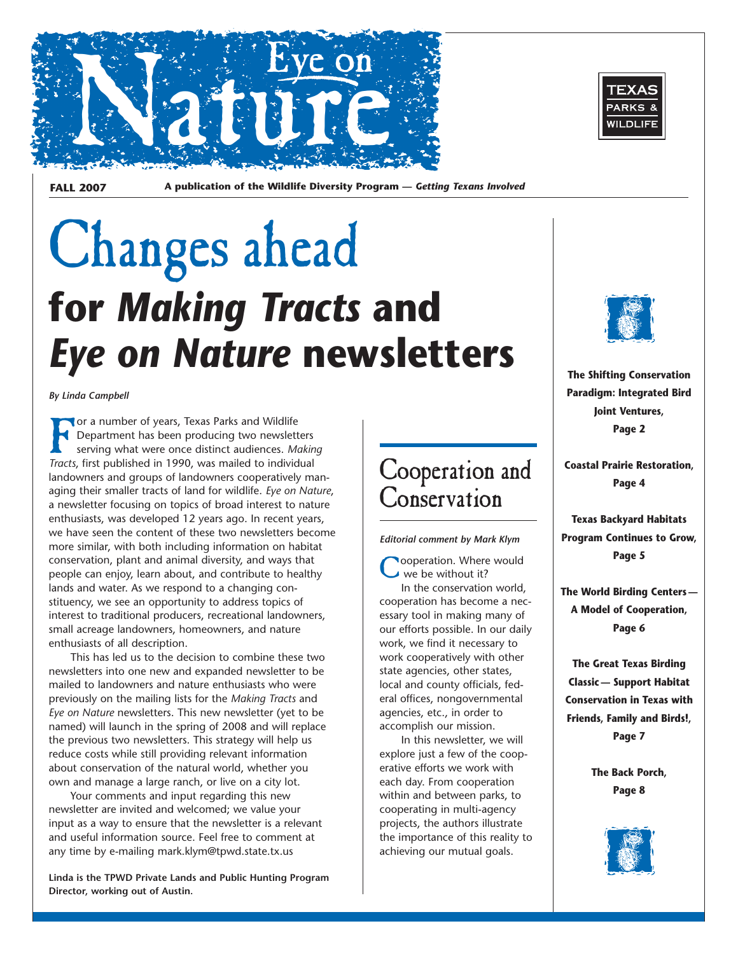

**FALL 2007 A publication of the Wildlife Diversity Program —** *Getting Texans Involved* 

# Changes ahead **for** *Making Tracts* **and**  *Eye on Nature* **newsletters**

*By Linda Campbell* 

For a number of years, Texas Parks and Wildlife<br>Department has been producing two newslett<br>serving what were once distinct audiences. March Strategies and Tracts first published in 1990 was mailed to individe Department has been producing two newsletters serving what were once distinct audiences. *Making Tracts*, first published in 1990, was mailed to individual landowners and groups of landowners cooperatively managing their smaller tracts of land for wildlife. *Eye on Nature*, a newsletter focusing on topics of broad interest to nature enthusiasts, was developed 12 years ago. In recent years, we have seen the content of these two newsletters become more similar, with both including information on habitat conservation, plant and animal diversity, and ways that people can enjoy, learn about, and contribute to healthy lands and water. As we respond to a changing constituency, we see an opportunity to address topics of interest to traditional producers, recreational landowners, small acreage landowners, homeowners, and nature enthusiasts of all description.

This has led us to the decision to combine these two newsletters into one new and expanded newsletter to be mailed to landowners and nature enthusiasts who were previously on the mailing lists for the *Making Tracts* and *Eye on Nature* newsletters. This new newsletter (yet to be named) will launch in the spring of 2008 and will replace the previous two newsletters. This strategy will help us reduce costs while still providing relevant information about conservation of the natural world, whether you own and manage a large ranch, or live on a city lot.

Your comments and input regarding this new newsletter are invited and welcomed; we value your input as a way to ensure that the newsletter is a relevant and useful information source. Feel free to comment at any time by e-mailing mark.klym@tpwd.state.tx.us

**Linda is the TPWD Private Lands and Public Hunting Program Director, working out of Austin.** 



*Editorial comment by Mark Klym* 

ooperation. Where would we be without it?

In the conservation world, cooperation has become a necessary tool in making many of our efforts possible. In our daily work, we find it necessary to work cooperatively with other state agencies, other states, local and county officials, federal offices, nongovernmental agencies, etc., in order to accomplish our mission.

In this newsletter, we will explore just a few of the cooperative efforts we work with each day. From cooperation within and between parks, to cooperating in multi-agency projects, the authors illustrate the importance of this reality to achieving our mutual goals.





**The Shifting Conservation Paradigm: Integrated Bird Joint Ventures, Page 2** 

**Coastal Prairie Restoration, Page 4** 

**Texas Backyard Habitats Program Continues to Grow, Page 5** 

**The World Birding Centers — A Model of Cooperation, Page 6** 

**The Great Texas Birding Classic — Support Habitat Conservation in Texas with Friends, Family and Birds!, Page 7** 

> **The Back Porch, Page 8**

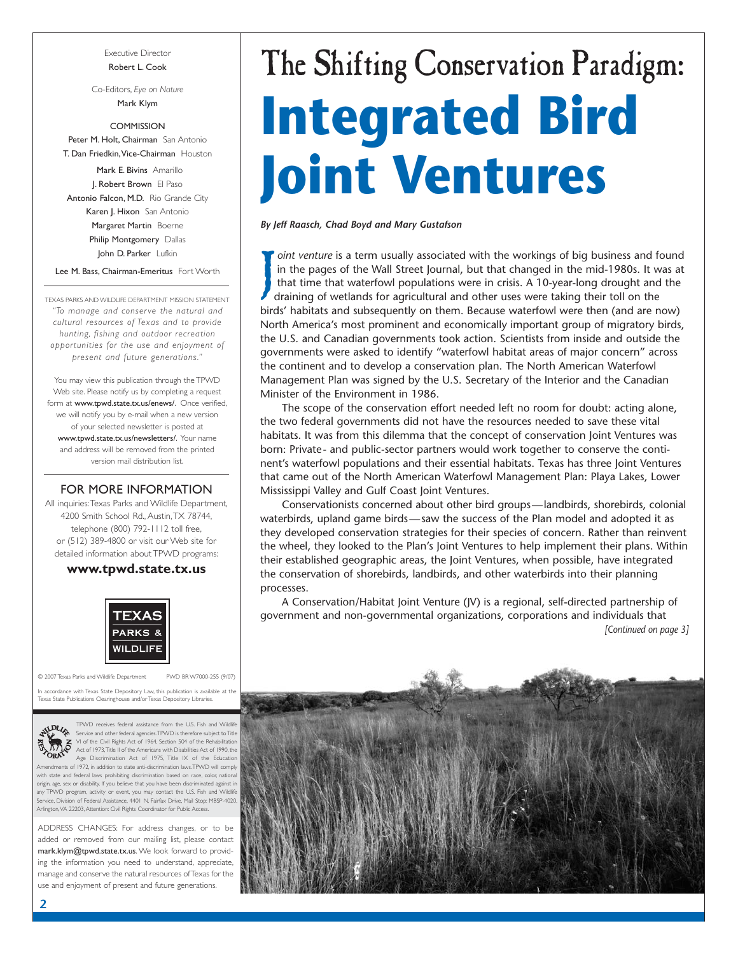Executive Director Robert L. Cook

Co-Editors, *Eye on Nature*  Mark Klym

**COMMISSION** Peter M. Holt, Chairman San Antonio T. Dan Friedkin,Vice-Chairman Houston

Mark E. Bivins Amarillo J. Robert Brown El Paso Antonio Falcon, M.D. Rio Grande City Karen J. Hixon San Antonio Margaret Martin Boerne Philip Montgomery Dallas John D. Parker Lufkin

Lee M. Bass, Chairman-Emeritus Fort Worth

TEXAS PARKS AND WILDLIFE DEPARTMENT MISSION STATEMENT *"To manage and conser ve the natural and cultural resources of Texas and to provide hunting, fishing and outdoor recreation opportunities for the use and enjoyment of present and future generations."* 

You may view this publication through the TPWD Web site. Please notify us by completing a request form at www.tpwd.state.tx.us/enews/. Once verified, we will notify you by e-mail when a new version of your selected newsletter is posted at www.tpwd.state.tx.us/newsletters/. Your name and address will be removed from the printed version mail distribution list.

### FOR MORE INFORMATION

All inquiries:Texas Parks and Wildlife Department, 4200 Smith School Rd., Austin,TX 78744, telephone (800) 792-1112 toll free, or (512) 389-4800 or visit our Web site for detailed information about TPWD programs:

### **www.tpwd.state.tx.us**



© 2007 Texas Parks and Wildlife Department PWD BR W7000-255 (9/07)

accordance with Texas State Depository Law, this publication is available at the<br>xas State Publications Clearinghouse and/or Texas Depository Libraries. .<br>Ise and/or Texas Depository Libraries



TPWD receives federal assistance from the U.S. Fish and Wildlife<br>Service and other federal agencies.TPWD is therefore subject to Title<br>VI of the Civil Rights Act of 1964, Section 504 of the Rehabilitation<br>Act of 1973,Title Age Discrimination Act of 1975, Title IX of the Education Amendments of 1972, in addition to state anti-discrimination laws.TPWD will comply

th state and federal laws prohibiting discrimination based on race, color, national origin, age, sex or disability. If you believe that you have been discriminated against in any TPWD program, activity or event, you may contact the U.S. Fish and Wildlife vice, Division of Federal Assistance, 4401 N. Fairfax Drive, Mail Stop: MBSP-4020, Arlington,VA 22203, Attention: Civil Rights Coordinator for Public Access.

ADDRESS CHANGES: For address changes, or to be added or removed from our mailing list, please contact mark.klym@tpwd.state.tx.us. We look forward to providing the information you need to understand, appreciate, manage and conserve the natural resources of Texas for the use and enjoyment of present and future generations.

# The Shifting Conservation Paradigm: **Integrated Bird Joint Ventures**

*By Jeff Raasch, Chad Boyd and Mary Gustafson* 

J *oint venture* is a term usually associated with the workings of big business and found in the pages of the Wall Street Journal, but that changed in the mid-1980s. It was at that time that waterfowl populations were in crisis. A 10-year-long drought and the draining of wetlands for agricultural and other uses were taking their toll on the birds' habitats and subsequently on them. Because waterfowl were then (and are now) North America's most prominent and economically important group of migratory birds, the U.S. and Canadian governments took action. Scientists from inside and outside the governments were asked to identify "waterfowl habitat areas of major concern" across the continent and to develop a conservation plan. The North American Waterfowl Management Plan was signed by the U.S. Secretary of the Interior and the Canadian Minister of the Environment in 1986.

The scope of the conservation effort needed left no room for doubt: acting alone, the two federal governments did not have the resources needed to save these vital habitats. It was from this dilemma that the concept of conservation Joint Ventures was born: Private- and public-sector partners would work together to conserve the continent's waterfowl populations and their essential habitats. Texas has three Joint Ventures that came out of the North American Waterfowl Management Plan: Playa Lakes, Lower Mississippi Valley and Gulf Coast Joint Ventures.

Conservationists concerned about other bird groups—landbirds, shorebirds, colonial waterbirds, upland game birds—saw the success of the Plan model and adopted it as they developed conservation strategies for their species of concern. Rather than reinvent the wheel, they looked to the Plan's Joint Ventures to help implement their plans. Within their established geographic areas, the Joint Ventures, when possible, have integrated the conservation of shorebirds, landbirds, and other waterbirds into their planning processes.

A Conservation/Habitat Joint Venture (JV) is a regional, self-directed partnership of government and non-governmental organizations, corporations and individuals that *[Continued on page 3]* 

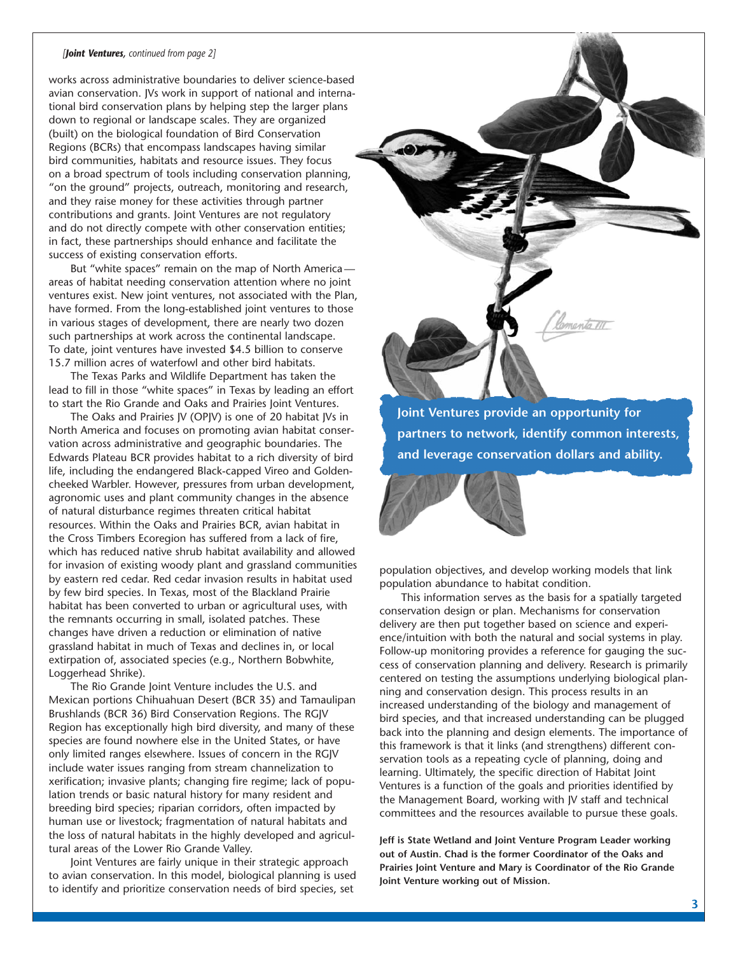### *[Joint Ventures, continued from page 2]*

works across administrative boundaries to deliver science-based avian conservation. JVs work in support of national and international bird conservation plans by helping step the larger plans down to regional or landscape scales. They are organized (built) on the biological foundation of Bird Conservation Regions (BCRs) that encompass landscapes having similar bird communities, habitats and resource issues. They focus on a broad spectrum of tools including conservation planning, "on the ground" projects, outreach, monitoring and research, and they raise money for these activities through partner contributions and grants. Joint Ventures are not regulatory and do not directly compete with other conservation entities; in fact, these partnerships should enhance and facilitate the success of existing conservation efforts.

But "white spaces" remain on the map of North America areas of habitat needing conservation attention where no joint ventures exist. New joint ventures, not associated with the Plan, have formed. From the long-established joint ventures to those in various stages of development, there are nearly two dozen such partnerships at work across the continental landscape. To date, joint ventures have invested \$4.5 billion to conserve 15.7 million acres of waterfowl and other bird habitats.

The Texas Parks and Wildlife Department has taken the lead to fill in those "white spaces" in Texas by leading an effort to start the Rio Grande and Oaks and Prairies Joint Ventures.

The Oaks and Prairies JV (OPJV) is one of 20 habitat JVs in North America and focuses on promoting avian habitat conservation across administrative and geographic boundaries. The Edwards Plateau BCR provides habitat to a rich diversity of bird life, including the endangered Black-capped Vireo and Goldencheeked Warbler. However, pressures from urban development, agronomic uses and plant community changes in the absence of natural disturbance regimes threaten critical habitat resources. Within the Oaks and Prairies BCR, avian habitat in the Cross Timbers Ecoregion has suffered from a lack of fire, which has reduced native shrub habitat availability and allowed for invasion of existing woody plant and grassland communities by eastern red cedar. Red cedar invasion results in habitat used by few bird species. In Texas, most of the Blackland Prairie habitat has been converted to urban or agricultural uses, with the remnants occurring in small, isolated patches. These changes have driven a reduction or elimination of native grassland habitat in much of Texas and declines in, or local extirpation of, associated species (e.g., Northern Bobwhite, Loggerhead Shrike).

The Rio Grande Joint Venture includes the U.S. and Mexican portions Chihuahuan Desert (BCR 35) and Tamaulipan Brushlands (BCR 36) Bird Conservation Regions. The RGJV Region has exceptionally high bird diversity, and many of these species are found nowhere else in the United States, or have only limited ranges elsewhere. Issues of concern in the RGJV include water issues ranging from stream channelization to xerification; invasive plants; changing fire regime; lack of population trends or basic natural history for many resident and breeding bird species; riparian corridors, often impacted by human use or livestock; fragmentation of natural habitats and the loss of natural habitats in the highly developed and agricultural areas of the Lower Rio Grande Valley.

Joint Ventures are fairly unique in their strategic approach to avian conservation. In this model, biological planning is used to identify and prioritize conservation needs of bird species, set

**Joint Ventures provide an opportunity for partners to network, identify common interests, and leverage conservation dollars and ability.** 

manto III

population objectives, and develop working models that link population abundance to habitat condition.

This information serves as the basis for a spatially targeted conservation design or plan. Mechanisms for conservation delivery are then put together based on science and experience/intuition with both the natural and social systems in play. Follow-up monitoring provides a reference for gauging the success of conservation planning and delivery. Research is primarily centered on testing the assumptions underlying biological planning and conservation design. This process results in an increased understanding of the biology and management of bird species, and that increased understanding can be plugged back into the planning and design elements. The importance of this framework is that it links (and strengthens) different conservation tools as a repeating cycle of planning, doing and learning. Ultimately, the specific direction of Habitat Joint Ventures is a function of the goals and priorities identified by the Management Board, working with JV staff and technical committees and the resources available to pursue these goals.

**Jeff is State Wetland and Joint Venture Program Leader working out of Austin. Chad is the former Coordinator of the Oaks and Prairies Joint Venture and Mary is Coordinator of the Rio Grande Joint Venture working out of Mission.**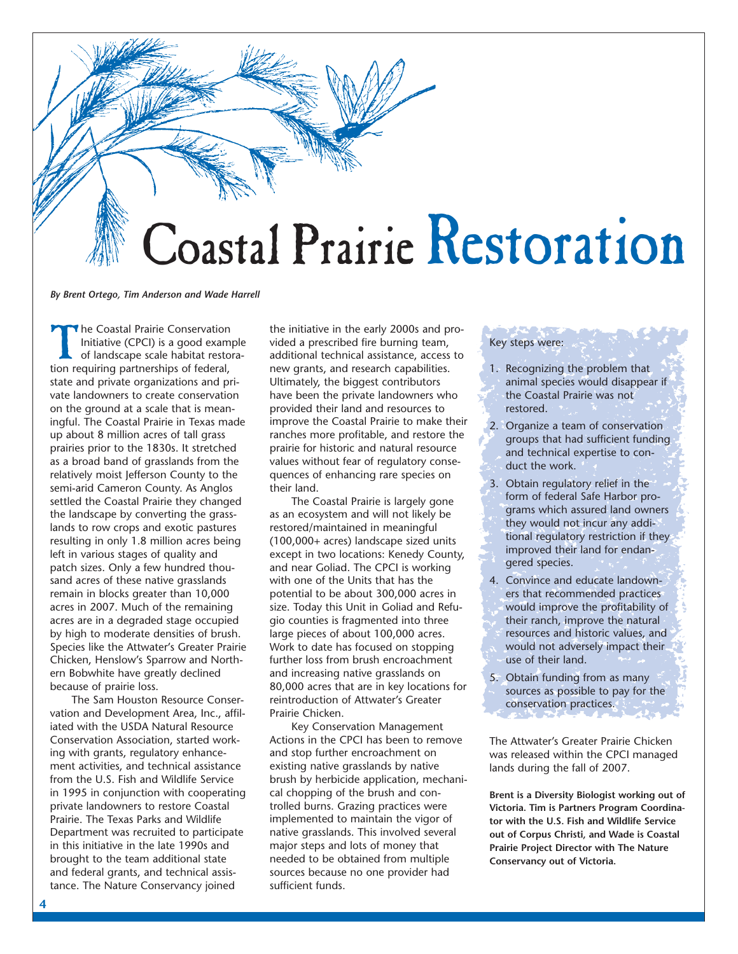

*By Brent Ortego, Tim Anderson and Wade Harrell* 

The Coastal Prairie Conservation<br>Initiative (CPCI) is a good example<br>of landscape scale habitat restor<br>tion requiring partnerships of federal Initiative (CPCI) is a good example of landscape scale habitat restoration requiring partnerships of federal, state and private organizations and private landowners to create conservation on the ground at a scale that is meaningful. The Coastal Prairie in Texas made up about 8 million acres of tall grass prairies prior to the 1830s. It stretched as a broad band of grasslands from the relatively moist Jefferson County to the semi-arid Cameron County. As Anglos settled the Coastal Prairie they changed the landscape by converting the grasslands to row crops and exotic pastures resulting in only 1.8 million acres being left in various stages of quality and patch sizes. Only a few hundred thousand acres of these native grasslands remain in blocks greater than 10,000 acres in 2007. Much of the remaining acres are in a degraded stage occupied by high to moderate densities of brush. Species like the Attwater's Greater Prairie Chicken, Henslow's Sparrow and Northern Bobwhite have greatly declined because of prairie loss.

The Sam Houston Resource Conservation and Development Area, Inc., affiliated with the USDA Natural Resource Conservation Association, started working with grants, regulatory enhancement activities, and technical assistance from the U.S. Fish and Wildlife Service in 1995 in conjunction with cooperating private landowners to restore Coastal Prairie. The Texas Parks and Wildlife Department was recruited to participate in this initiative in the late 1990s and brought to the team additional state and federal grants, and technical assistance. The Nature Conservancy joined

the initiative in the early 2000s and provided a prescribed fire burning team, additional technical assistance, access to new grants, and research capabilities. Ultimately, the biggest contributors have been the private landowners who provided their land and resources to improve the Coastal Prairie to make their ranches more profitable, and restore the prairie for historic and natural resource values without fear of regulatory consequences of enhancing rare species on their land.

The Coastal Prairie is largely gone as an ecosystem and will not likely be restored/maintained in meaningful (100,000+ acres) landscape sized units except in two locations: Kenedy County, and near Goliad. The CPCI is working with one of the Units that has the potential to be about 300,000 acres in size. Today this Unit in Goliad and Refugio counties is fragmented into three large pieces of about 100,000 acres. Work to date has focused on stopping further loss from brush encroachment and increasing native grasslands on 80,000 acres that are in key locations for reintroduction of Attwater's Greater Prairie Chicken.

Key Conservation Management Actions in the CPCI has been to remove and stop further encroachment on existing native grasslands by native brush by herbicide application, mechanical chopping of the brush and controlled burns. Grazing practices were implemented to maintain the vigor of native grasslands. This involved several major steps and lots of money that needed to be obtained from multiple sources because no one provider had sufficient funds.

### Key steps were:

- 1. Recognizing the problem that animal species would disappear if the Coastal Prairie was not restored.
- 2. Organize a team of conservation groups that had sufficient funding and technical expertise to conduct the work.
- 3. Obtain regulatory relief in the form of federal Safe Harbor programs which assured land owners they would not incur any additional regulatory restriction if they improved their land for endangered species.
- 4. Convince and educate landowners that recommended practices would improve the profitability of their ranch, improve the natural resources and historic values, and would not adversely impact their use of their land.
- 5. Obtain funding from as many sources as possible to pay for the conservation practices.

The Attwater's Greater Prairie Chicken was released within the CPCI managed lands during the fall of 2007.

**Brent is a Diversity Biologist working out of Victoria. Tim is Partners Program Coordinator with the U.S. Fish and Wildlife Service out of Corpus Christi, and Wade is Coastal Prairie Project Director with The Nature Conservancy out of Victoria.**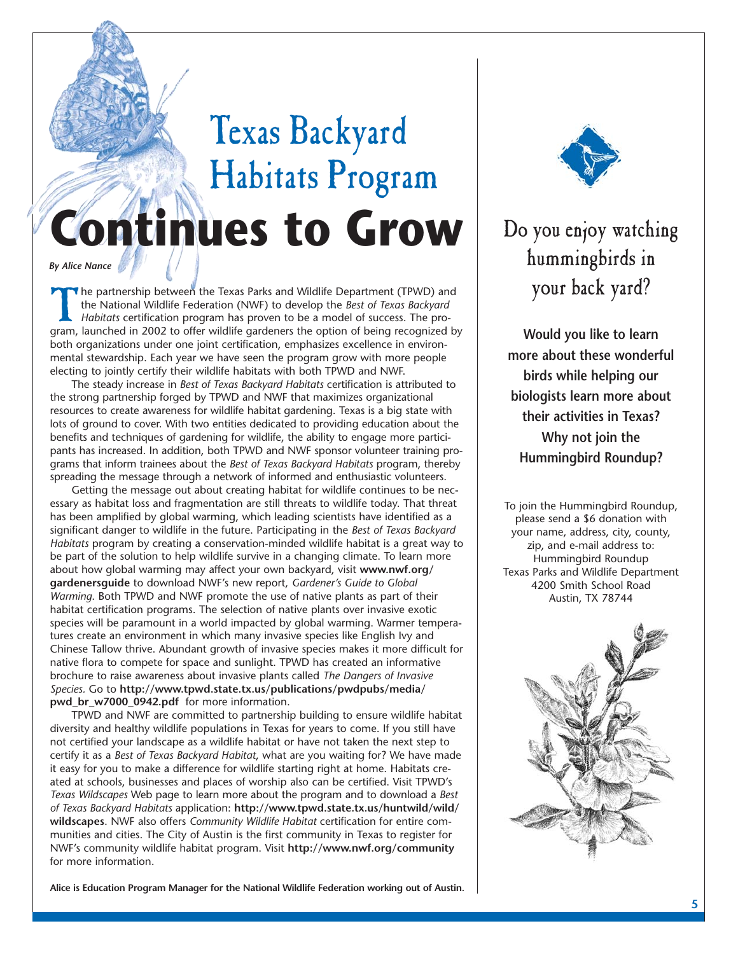# Texas Backyard Habitats Program **Continues to Grow**

*By Alice Nance* 

The partnership between the Texas Parks and Wildlife Department (TPWD) and the National Wildlife Federation (NWF) to develop the *Best of Texas Backyard Habitats* certification program has proven to be a model of success. The program, launched in 2002 to offer wildlife gardeners the option of being recognized by both organizations under one joint certification, emphasizes excellence in environmental stewardship. Each year we have seen the program grow with more people electing to jointly certify their wildlife habitats with both TPWD and NWF.

The steady increase in *Best of Texas Backyard Habitats* certification is attributed to the strong partnership forged by TPWD and NWF that maximizes organizational resources to create awareness for wildlife habitat gardening. Texas is a big state with lots of ground to cover. With two entities dedicated to providing education about the benefits and techniques of gardening for wildlife, the ability to engage more participants has increased. In addition, both TPWD and NWF sponsor volunteer training programs that inform trainees about the *Best of Texas Backyard Habitats* program, thereby spreading the message through a network of informed and enthusiastic volunteers.

Getting the message out about creating habitat for wildlife continues to be necessary as habitat loss and fragmentation are still threats to wildlife today. That threat has been amplified by global warming, which leading scientists have identified as a significant danger to wildlife in the future. Participating in the *Best of Texas Backyard Habitats* program by creating a conservation-minded wildlife habitat is a great way to be part of the solution to help wildlife survive in a changing climate. To learn more about how global warming may affect your own backyard, visit **www.nwf.org/ gardenersguide** to download NWF's new report, *Gardener's Guide to Global Warming*. Both TPWD and NWF promote the use of native plants as part of their habitat certification programs. The selection of native plants over invasive exotic species will be paramount in a world impacted by global warming. Warmer temperatures create an environment in which many invasive species like English Ivy and Chinese Tallow thrive. Abundant growth of invasive species makes it more difficult for native flora to compete for space and sunlight. TPWD has created an informative brochure to raise awareness about invasive plants called *The Dangers of Invasive Species.* Go to **http://www.tpwd.state.tx.us/publications/pwdpubs/media/ pwd\_br\_w7000\_0942.pdf** for more information.

TPWD and NWF are committed to partnership building to ensure wildlife habitat diversity and healthy wildlife populations in Texas for years to come. If you still have not certified your landscape as a wildlife habitat or have not taken the next step to certify it as a *Best of Texas Backyard Habitat*, what are you waiting for? We have made it easy for you to make a difference for wildlife starting right at home. Habitats created at schools, businesses and places of worship also can be certified. Visit TPWD's *Texas Wildscapes* Web page to learn more about the program and to download a *Best of Texas Backyard Habitats* application: **http://www.tpwd.state.tx.us/huntwild/wild/ wildscapes**. NWF also offers *Community Wildlife Habitat* certification for entire communities and cities. The City of Austin is the first community in Texas to register for NWF's community wildlife habitat program. Visit **http://www.nwf.org/community**  for more information.



## Do you enjoy watching hummingbirds in your back yard?

**Would you like to learn more about these wonderful birds while helping our biologists learn more about their activities in Texas? Why not join the Hummingbird Roundup?** 

To join the Hummingbird Roundup, please send a \$6 donation with your name, address, city, county, zip, and e-mail address to: Hummingbird Roundup Texas Parks and Wildlife Department 4200 Smith School Road Austin, TX 78744



**Alice is Education Program Manager for the National Wildlife Federation working out of Austin.**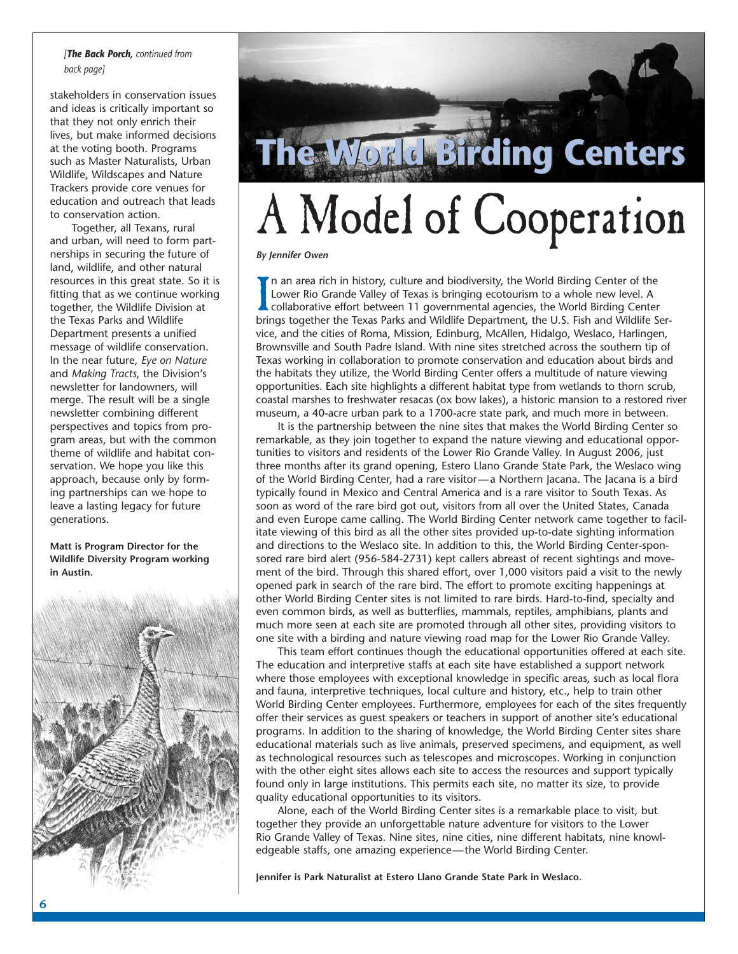### *[The Back Porch, continued from back page]*

stakeholders in conservation issues and ideas is critically important so that they not only enrich their lives, but make informed decisions at the voting booth. Programs such as Master Naturalists, Urban Wildlife, Wildscapes and Nature Trackers provide core venues for education and outreach that leads to conservation action.

Together, all Texans, rural and urban, will need to form partnerships in securing the future of land, wildlife, and other natural resources in this great state. So it is fitting that as we continue working together, the Wildlife Division at the Texas Parks and Wildlife Department presents a unified message of wildlife conservation. In the near future, *Eye on Nature*  and *Making Tracts*, the Division's newsletter for landowners, will merge. The result will be a single newsletter combining different perspectives and topics from program areas, but with the common theme of wildlife and habitat conservation. We hope you like this approach, because only by forming partnerships can we hope to leave a lasting legacy for future generations.

**Matt is Program Director for the Wildlife Diversity Program working in Austin.** 





# A Model of Cooperation

### *By Jennifer Owen*

In an area rich in history, culture and biodiversity, the World Birding Center of the Lower Rio Grande Valley of Texas is bringing ecotourism to a whole new level. A collaborative effort between 11 governmental agencies, t n an area rich in history, culture and biodiversity, the World Birding Center of the Lower Rio Grande Valley of Texas is bringing ecotourism to a whole new level. A collaborative effort between 11 governmental agencies, the World Birding Center vice, and the cities of Roma, Mission, Edinburg, McAllen, Hidalgo, Weslaco, Harlingen, Brownsville and South Padre Island. With nine sites stretched across the southern tip of Texas working in collaboration to promote conservation and education about birds and the habitats they utilize, the World Birding Center offers a multitude of nature viewing opportunities. Each site highlights a different habitat type from wetlands to thorn scrub, coastal marshes to freshwater resacas (ox bow lakes), a historic mansion to a restored river museum, a 40-acre urban park to a 1700-acre state park, and much more in between.

It is the partnership between the nine sites that makes the World Birding Center so remarkable, as they join together to expand the nature viewing and educational opportunities to visitors and residents of the Lower Rio Grande Valley. In August 2006, just three months after its grand opening, Estero Llano Grande State Park, the Weslaco wing of the World Birding Center, had a rare visitor—a Northern Jacana. The Jacana is a bird typically found in Mexico and Central America and is a rare visitor to South Texas. As soon as word of the rare bird got out, visitors from all over the United States, Canada and even Europe came calling. The World Birding Center network came together to facilitate viewing of this bird as all the other sites provided up-to-date sighting information and directions to the Weslaco site. In addition to this, the World Birding Center-sponsored rare bird alert (956-584-2731) kept callers abreast of recent sightings and movement of the bird. Through this shared effort, over 1,000 visitors paid a visit to the newly opened park in search of the rare bird. The effort to promote exciting happenings at other World Birding Center sites is not limited to rare birds. Hard-to-find, specialty and even common birds, as well as butterflies, mammals, reptiles, amphibians, plants and much more seen at each site are promoted through all other sites, providing visitors to one site with a birding and nature viewing road map for the Lower Rio Grande Valley.

This team effort continues though the educational opportunities offered at each site. The education and interpretive staffs at each site have established a support network where those employees with exceptional knowledge in specific areas, such as local flora and fauna, interpretive techniques, local culture and history, etc., help to train other World Birding Center employees. Furthermore, employees for each of the sites frequently offer their services as guest speakers or teachers in support of another site's educational programs. In addition to the sharing of knowledge, the World Birding Center sites share educational materials such as live animals, preserved specimens, and equipment, as well as technological resources such as telescopes and microscopes. Working in conjunction with the other eight sites allows each site to access the resources and support typically found only in large institutions. This permits each site, no matter its size, to provide quality educational opportunities to its visitors.

Alone, each of the World Birding Center sites is a remarkable place to visit, but together they provide an unforgettable nature adventure for visitors to the Lower Rio Grande Valley of Texas. Nine sites, nine cities, nine different habitats, nine knowledgeable staffs, one amazing experience—the World Birding Center.

**Jennifer is Park Naturalist at Estero Llano Grande State Park in Weslaco.**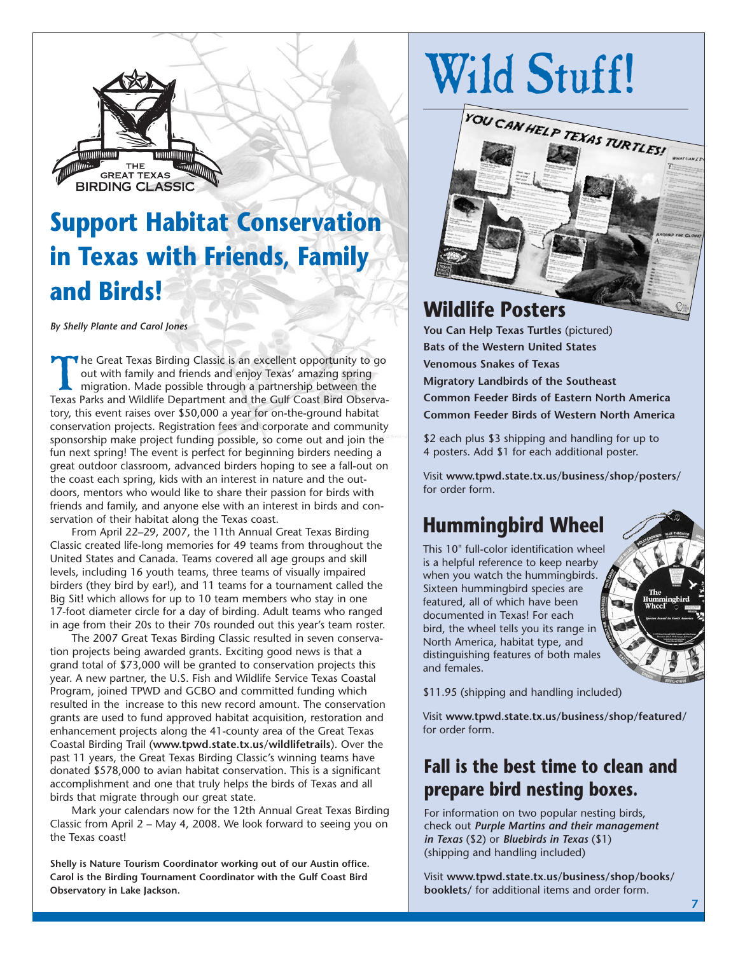

## **Support Habitat Conservation in Texas with Friends, Family and Birds!**

*By Shelly Plante and Carol Jones* 

The Great Texas Birding Classic is an excellent opportunity to go<br>
out with family and friends and enjoy Texas' amazing spring<br>
migration. Made possible through a partnership between the<br>
Texas Parks and Wildlife Departmen out with family and friends and enjoy Texas' amazing spring migration. Made possible through a partnership between the Texas Parks and Wildlife Department and the Gulf Coast Bird Observatory, this event raises over \$50,000 a year for on-the-ground habitat conservation projects. Registration fees and corporate and community sponsorship make project funding possible, so come out and join the fun next spring! The event is perfect for beginning birders needing a great outdoor classroom, advanced birders hoping to see a fall-out on the coast each spring, kids with an interest in nature and the outdoors, mentors who would like to share their passion for birds with friends and family, and anyone else with an interest in birds and conservation of their habitat along the Texas coast.

From April 22–29, 2007, the 11th Annual Great Texas Birding Classic created life-long memories for 49 teams from throughout the United States and Canada. Teams covered all age groups and skill levels, including 16 youth teams, three teams of visually impaired birders (they bird by ear!), and 11 teams for a tournament called the Big Sit! which allows for up to 10 team members who stay in one 17-foot diameter circle for a day of birding. Adult teams who ranged in age from their 20s to their 70s rounded out this year's team roster.

The 2007 Great Texas Birding Classic resulted in seven conservation projects being awarded grants. Exciting good news is that a grand total of \$73,000 will be granted to conservation projects this year. A new partner, the U.S. Fish and Wildlife Service Texas Coastal Program, joined TPWD and GCBO and committed funding which resulted in the increase to this new record amount. The conservation grants are used to fund approved habitat acquisition, restoration and enhancement projects along the 41-county area of the Great Texas Coastal Birding Trail (**www.tpwd.state.tx.us/wildlifetrails**). Over the past 11 years, the Great Texas Birding Classic's winning teams have donated \$578,000 to avian habitat conservation. This is a significant accomplishment and one that truly helps the birds of Texas and all birds that migrate through our great state.

Mark your calendars now for the 12th Annual Great Texas Birding Classic from April 2 – May 4, 2008. We look forward to seeing you on the Texas coast!

**Shelly is Nature Tourism Coordinator working out of our Austin office. Carol is the Birding Tournament Coordinator with the Gulf Coast Bird Observatory in Lake Jackson.** 



## **Wildlife Posters**

**You Can Help Texas Turtles** (pictured) **Bats of the Western United States Venomous Snakes of Texas Migratory Landbirds of the Southeast Common Feeder Birds of Eastern North America Common Feeder Birds of Western North America** 

\$2 each plus \$3 shipping and handling for up to 4 posters. Add \$1 for each additional poster.

Visit **www.tpwd.state.tx.us/business/shop/posters/**  for order form.

## **Hummingbird Wheel**

This 10" full-color identification wheel is a helpful reference to keep nearby when you watch the hummingbirds. Sixteen hummingbird species are featured, all of which have been documented in Texas! For each bird, the wheel tells you its range in North America, habitat type, and distinguishing features of both males and females.



\$11.95 (shipping and handling included)

Visit **www.tpwd.state.tx.us/business/shop/featured/**  for order form.

### **Fall is the best time to clean and prepare bird nesting boxes.**

For information on two popular nesting birds, check out *Purple Martins and their management in Texas* (\$2) or *Bluebirds in Texas* (\$1) (shipping and handling included)

Visit **www.tpwd.state.tx.us/business/shop/books/ booklets/** for additional items and order form.